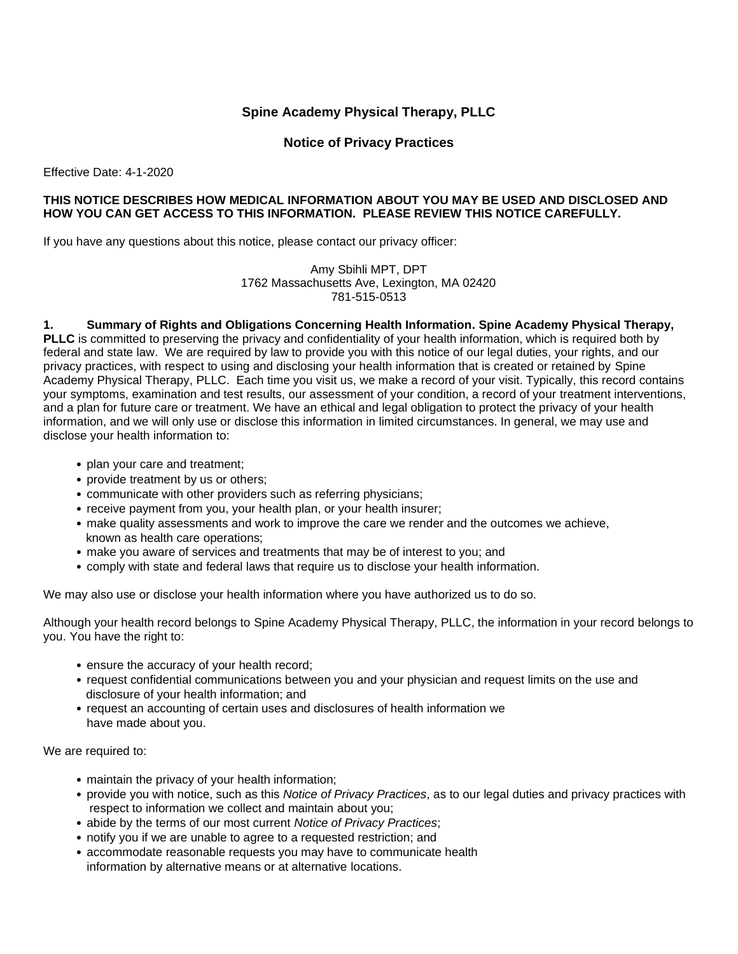# **Spine Academy Physical Therapy, PLLC**

**Notice of Privacy Practices**

Effective Date: 4-1-2020

## **THIS NOTICE DESCRIBES HOW MEDICAL INFORMATION ABOUT YOU MAY BE USED AND DISCLOSED AND HOW YOU CAN GET ACCESS TO THIS INFORMATION. PLEASE REVIEW THIS NOTICE CAREFULLY.**

If you have any questions about this notice, please contact our privacy officer:

Amy Sbihli MPT, DPT 1762 Massachusetts Ave, Lexington, MA 02420 781-515-0513

#### **1. Summary of Rights and Obligations Concerning Health Information. Spine Academy Physical Therapy,**

**PLLC** is committed to preserving the privacy and confidentiality of your health information, which is required both by federal and state law. We are required by law to provide you with this notice of our legal duties, your rights, and our privacy practices, with respect to using and disclosing your health information that is created or retained by Spine Academy Physical Therapy, PLLC. Each time you visit us, we make a record of your visit. Typically, this record contains your symptoms, examination and test results, our assessment of your condition, a record of your treatment interventions, and a plan for future care or treatment. We have an ethical and legal obligation to protect the privacy of your health information, and we will only use or disclose this information in limited circumstances. In general, we may use and disclose your health information to:

- plan your care and treatment;
- provide treatment by us or others;
- communicate with other providers such as referring physicians;
- receive payment from you, your health plan, or your health insurer;
- make quality assessments and work to improve the care we render and the outcomes we achieve, known as health care operations;
- make you aware of services and treatments that may be of interest to you; and
- comply with state and federal laws that require us to disclose your health information.

We may also use or disclose your health information where you have authorized us to do so.

Although your health record belongs to Spine Academy Physical Therapy, PLLC, the information in your record belongs to you. You have the right to:

- ensure the accuracy of your health record;
- request confidential communications between you and your physician and request limits on the use and disclosure of your health information; and
- request an accounting of certain uses and disclosures of health information we have made about you.

We are required to:

- maintain the privacy of your health information;
- provide you with notice, such as this *Notice of Privacy Practices*, as to our legal duties and privacy practices with respect to information we collect and maintain about you;
- abide by the terms of our most current *Notice of Privacy Practices*;
- notify you if we are unable to agree to a requested restriction; and
- accommodate reasonable requests you may have to communicate health information by alternative means or at alternative locations.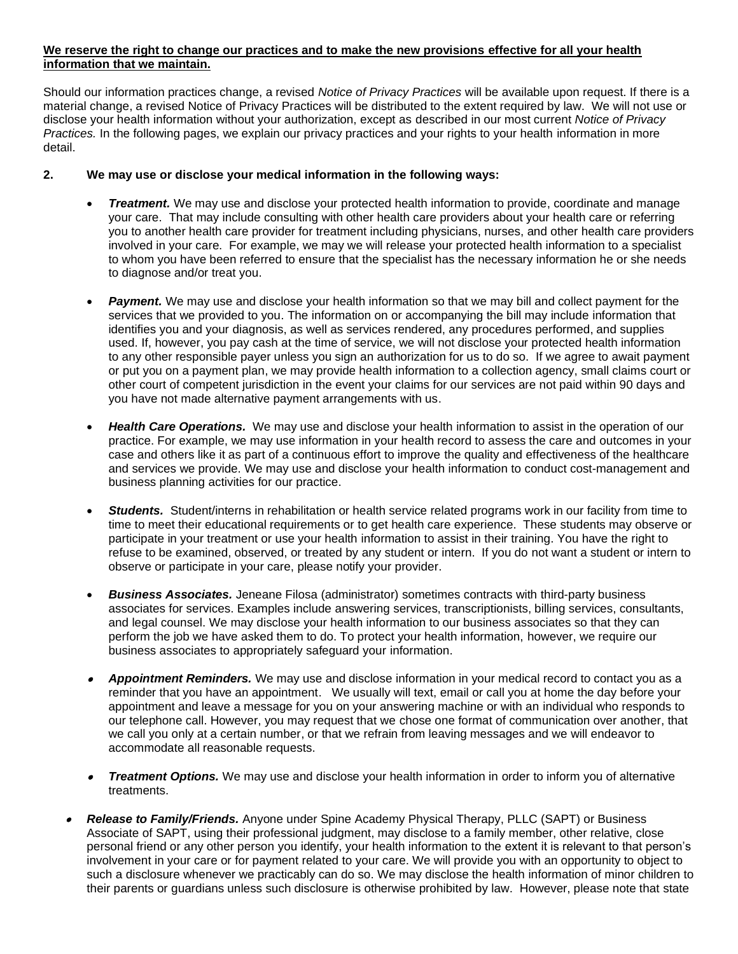## **We reserve the right to change our practices and to make the new provisions effective for all your health information that we maintain.**

Should our information practices change, a revised *Notice of Privacy Practices* will be available upon request. If there is a material change, a revised Notice of Privacy Practices will be distributed to the extent required by law. We will not use or disclose your health information without your authorization, except as described in our most current *Notice of Privacy Practices.* In the following pages, we explain our privacy practices and your rights to your health information in more detail.

# **2. We may use or disclose your medical information in the following ways:**

- *Treatment.* We may use and disclose your protected health information to provide, coordinate and manage your care. That may include consulting with other health care providers about your health care or referring you to another health care provider for treatment including physicians, nurses, and other health care providers involved in your care. For example, we may we will release your protected health information to a specialist to whom you have been referred to ensure that the specialist has the necessary information he or she needs to diagnose and/or treat you.
- **Payment.** We may use and disclose your health information so that we may bill and collect payment for the services that we provided to you. The information on or accompanying the bill may include information that identifies you and your diagnosis, as well as services rendered, any procedures performed, and supplies used. If, however, you pay cash at the time of service, we will not disclose your protected health information to any other responsible payer unless you sign an authorization for us to do so. If we agree to await payment or put you on a payment plan, we may provide health information to a collection agency, small claims court or other court of competent jurisdiction in the event your claims for our services are not paid within 90 days and you have not made alternative payment arrangements with us.
- *Health Care Operations.* We may use and disclose your health information to assist in the operation of our practice. For example, we may use information in your health record to assess the care and outcomes in your case and others like it as part of a continuous effort to improve the quality and effectiveness of the healthcare and services we provide. We may use and disclose your health information to conduct cost-management and business planning activities for our practice.
- *Students.* Student/interns in rehabilitation or health service related programs work in our facility from time to time to meet their educational requirements or to get health care experience. These students may observe or participate in your treatment or use your health information to assist in their training. You have the right to refuse to be examined, observed, or treated by any student or intern. If you do not want a student or intern to observe or participate in your care, please notify your provider.
- *Business Associates.* Jeneane Filosa (administrator) sometimes contracts with third-party business associates for services. Examples include answering services, transcriptionists, billing services, consultants, and legal counsel. We may disclose your health information to our business associates so that they can perform the job we have asked them to do. To protect your health information, however, we require our business associates to appropriately safeguard your information.
- *Appointment Reminders.* We may use and disclose information in your medical record to contact you as a reminder that you have an appointment. We usually will text, email or call you at home the day before your appointment and leave a message for you on your answering machine or with an individual who responds to our telephone call. However, you may request that we chose one format of communication over another, that we call you only at a certain number, or that we refrain from leaving messages and we will endeavor to accommodate all reasonable requests.
- *Treatment Options.* We may use and disclose your health information in order to inform you of alternative treatments.
- • *Release to Family/Friends.* Anyone under Spine Academy Physical Therapy, PLLC (SAPT) or Business Associate of SAPT, using their professional judgment, may disclose to a family member, other relative, close personal friend or any other person you identify, your health information to the extent it is relevant to that person's involvement in your care or for payment related to your care. We will provide you with an opportunity to object to such a disclosure whenever we practicably can do so. We may disclose the health information of minor children to their parents or guardians unless such disclosure is otherwise prohibited by law. However, please note that state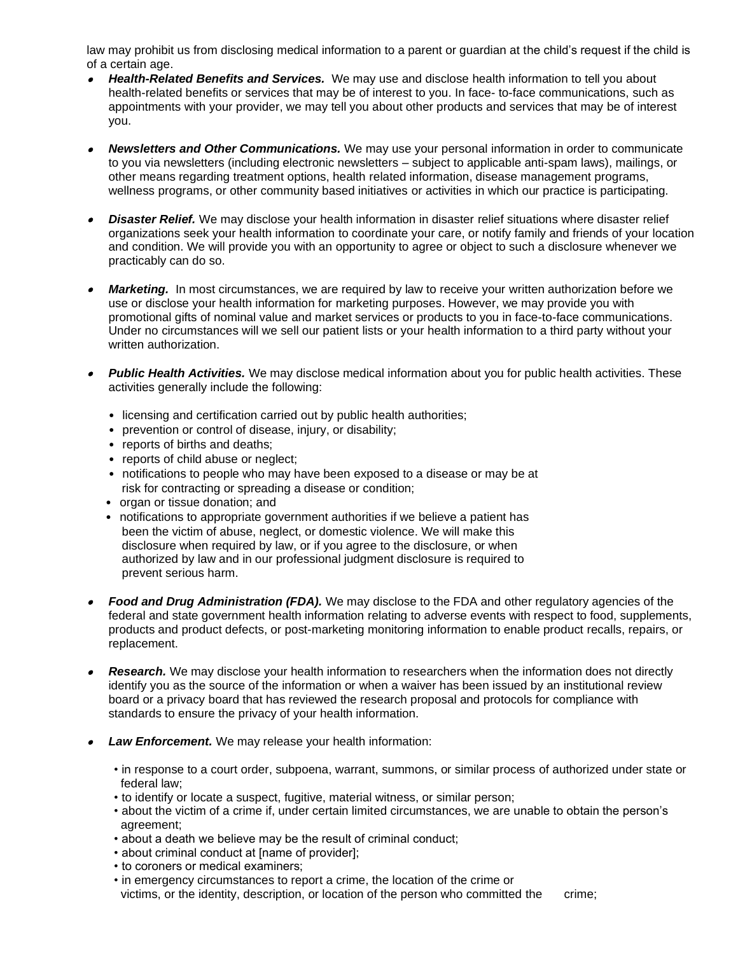law may prohibit us from disclosing medical information to a parent or guardian at the child's request if the child is of a certain age.

- • *Health-Related Benefits and Services.* We may use and disclose health information to tell you about health-related benefits or services that may be of interest to you. In face- to-face communications, such as appointments with your provider, we may tell you about other products and services that may be of interest you.
- • *Newsletters and Other Communications.* We may use your personal information in order to communicate to you via newsletters (including electronic newsletters – subject to applicable anti-spam laws), mailings, or other means regarding treatment options, health related information, disease management programs, wellness programs, or other community based initiatives or activities in which our practice is participating.
- • *Disaster Relief.* We may disclose your health information in disaster relief situations where disaster relief organizations seek your health information to coordinate your care, or notify family and friends of your location and condition. We will provide you with an opportunity to agree or object to such a disclosure whenever we practicably can do so.
- •*Marketing.* In most circumstances, we are required by law to receive your written authorization before we use or disclose your health information for marketing purposes. However, we may provide you with promotional gifts of nominal value and market services or products to you in face-to-face communications. Under no circumstances will we sell our patient lists or your health information to a third party without your written authorization.
- • *Public Health Activities.* We may disclose medical information about you for public health activities. These activities generally include the following:
	- licensing and certification carried out by public health authorities;
	- prevention or control of disease, injury, or disability;
	- reports of births and deaths;
	- reports of child abuse or neglect;
	- notifications to people who may have been exposed to a disease or may be at risk for contracting or spreading a disease or condition;
	- organ or tissue donation; and
	- notifications to appropriate government authorities if we believe a patient has been the victim of abuse, neglect, or domestic violence. We will make this disclosure when required by law, or if you agree to the disclosure, or when authorized by law and in our professional judgment disclosure is required to prevent serious harm.
- • *Food and Drug Administration (FDA).* We may disclose to the FDA and other regulatory agencies of the federal and state government health information relating to adverse events with respect to food, supplements, products and product defects, or post-marketing monitoring information to enable product recalls, repairs, or replacement.
- •**Research.** We may disclose your health information to researchers when the information does not directly identify you as the source of the information or when a waiver has been issued by an institutional review board or a privacy board that has reviewed the research proposal and protocols for compliance with standards to ensure the privacy of your health information.
- • *Law Enforcement.* We may release your health information:
	- in response to a court order, subpoena, warrant, summons, or similar process of authorized under state or federal law;
	- to identify or locate a suspect, fugitive, material witness, or similar person;
	- about the victim of a crime if, under certain limited circumstances, we are unable to obtain the person's agreement;
	- about a death we believe may be the result of criminal conduct;
	- about criminal conduct at [name of provider];
	- to coroners or medical examiners;
	- in emergency circumstances to report a crime, the location of the crime or victims, or the identity, description, or location of the person who committed the crime;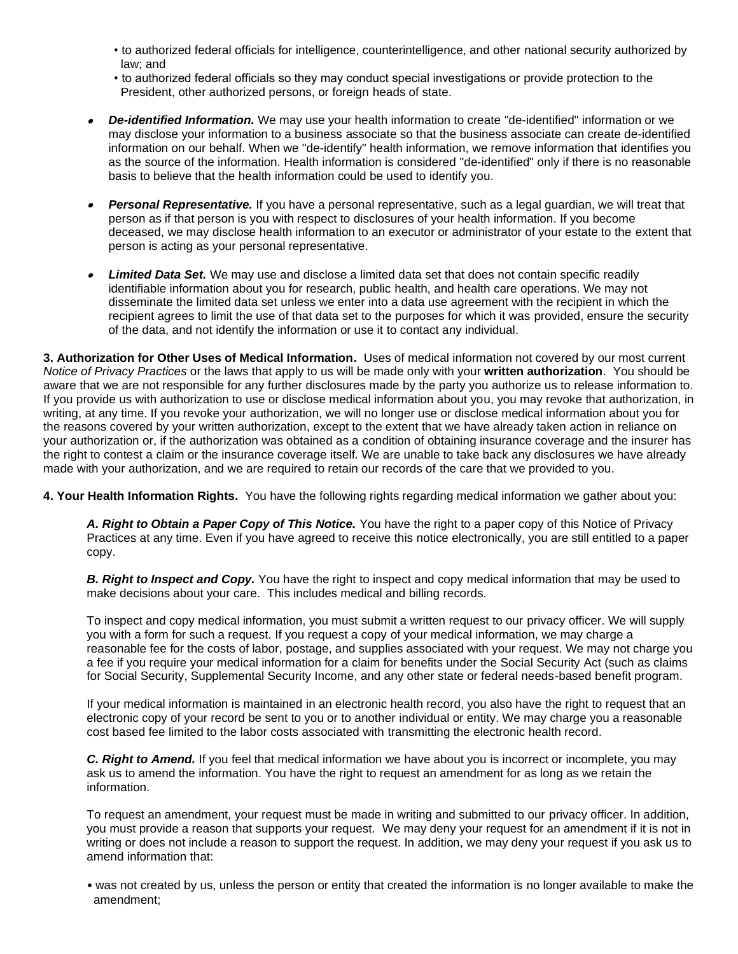- to authorized federal officials for intelligence, counterintelligence, and other national security authorized by law; and
- to authorized federal officials so they may conduct special investigations or provide protection to the President, other authorized persons, or foreign heads of state.
- *De-identified Information.* We may use your health information to create "de-identified" information or we may disclose your information to a business associate so that the business associate can create de-identified information on our behalf. When we "de-identify" health information, we remove information that identifies you as the source of the information. Health information is considered "de-identified" only if there is no reasonable basis to believe that the health information could be used to identify you.
- • *Personal Representative.* If you have a personal representative, such as a legal guardian, we will treat that person as if that person is you with respect to disclosures of your health information. If you become deceased, we may disclose health information to an executor or administrator of your estate to the extent that person is acting as your personal representative.
- • *Limited Data Set.* We may use and disclose a limited data set that does not contain specific readily identifiable information about you for research, public health, and health care operations. We may not disseminate the limited data set unless we enter into a data use agreement with the recipient in which the recipient agrees to limit the use of that data set to the purposes for which it was provided, ensure the security of the data, and not identify the information or use it to contact any individual.

**3. Authorization for Other Uses of Medical Information.** Uses of medical information not covered by our most current *Notice of Privacy Practices* or the laws that apply to us will be made only with your **written authorization**. You should be aware that we are not responsible for any further disclosures made by the party you authorize us to release information to. If you provide us with authorization to use or disclose medical information about you, you may revoke that authorization, in writing, at any time. If you revoke your authorization, we will no longer use or disclose medical information about you for the reasons covered by your written authorization, except to the extent that we have already taken action in reliance on your authorization or, if the authorization was obtained as a condition of obtaining insurance coverage and the insurer has the right to contest a claim or the insurance coverage itself. We are unable to take back any disclosures we have already made with your authorization, and we are required to retain our records of the care that we provided to you.

**4. Your Health Information Rights.** You have the following rights regarding medical information we gather about you:

*A. Right to Obtain a Paper Copy of This Notice.* You have the right to a paper copy of this Notice of Privacy Practices at any time. Even if you have agreed to receive this notice electronically, you are still entitled to a paper copy.

*B. Right to Inspect and Copy.* You have the right to inspect and copy medical information that may be used to make decisions about your care. This includes medical and billing records.

To inspect and copy medical information, you must submit a written request to our privacy officer. We will supply you with a form for such a request. If you request a copy of your medical information, we may charge a reasonable fee for the costs of labor, postage, and supplies associated with your request. We may not charge you a fee if you require your medical information for a claim for benefits under the Social Security Act (such as claims for Social Security, Supplemental Security Income, and any other state or federal needs-based benefit program.

If your medical information is maintained in an electronic health record, you also have the right to request that an electronic copy of your record be sent to you or to another individual or entity. We may charge you a reasonable cost based fee limited to the labor costs associated with transmitting the electronic health record.

*C. Right to Amend.* If you feel that medical information we have about you is incorrect or incomplete, you may ask us to amend the information. You have the right to request an amendment for as long as we retain the information.

To request an amendment, your request must be made in writing and submitted to our privacy officer. In addition, you must provide a reason that supports your request. We may deny your request for an amendment if it is not in writing or does not include a reason to support the request. In addition, we may deny your request if you ask us to amend information that:

• was not created by us, unless the person or entity that created the information is no longer available to make the amendment;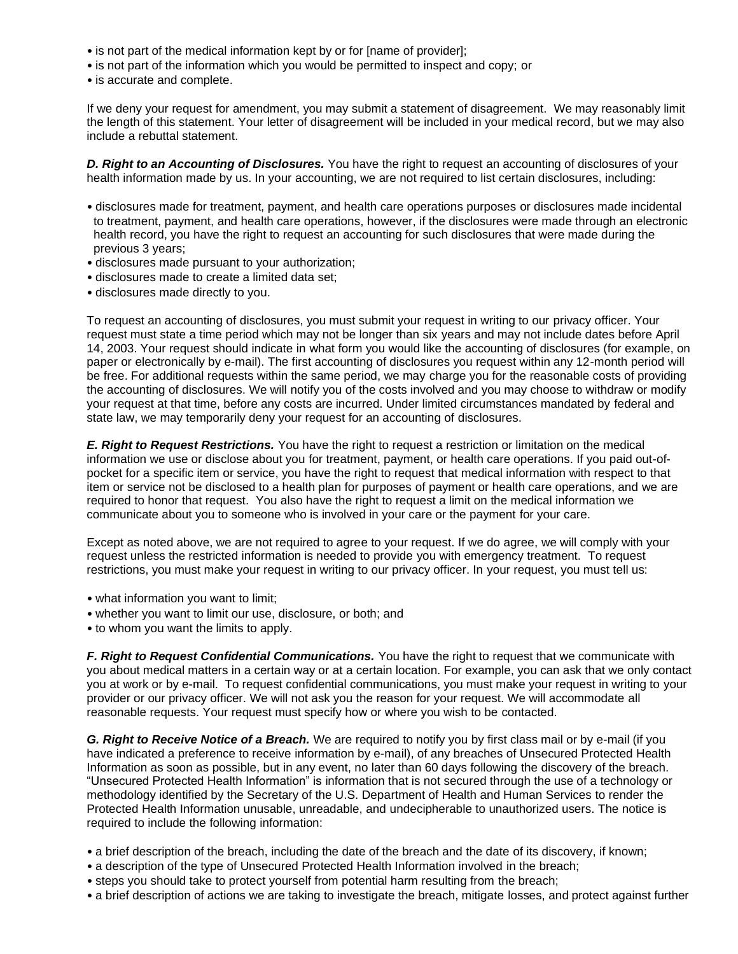- is not part of the medical information kept by or for [name of provider];
- is not part of the information which you would be permitted to inspect and copy; or
- is accurate and complete.

If we deny your request for amendment, you may submit a statement of disagreement. We may reasonably limit the length of this statement. Your letter of disagreement will be included in your medical record, but we may also include a rebuttal statement.

*D. Right to an Accounting of Disclosures.* You have the right to request an accounting of disclosures of your health information made by us. In your accounting, we are not required to list certain disclosures, including:

- disclosures made for treatment, payment, and health care operations purposes or disclosures made incidental to treatment, payment, and health care operations, however, if the disclosures were made through an electronic health record, you have the right to request an accounting for such disclosures that were made during the previous 3 years;
- disclosures made pursuant to your authorization;
- disclosures made to create a limited data set;
- disclosures made directly to you.

To request an accounting of disclosures, you must submit your request in writing to our privacy officer. Your request must state a time period which may not be longer than six years and may not include dates before April 14, 2003. Your request should indicate in what form you would like the accounting of disclosures (for example, on paper or electronically by e-mail). The first accounting of disclosures you request within any 12-month period will be free. For additional requests within the same period, we may charge you for the reasonable costs of providing the accounting of disclosures. We will notify you of the costs involved and you may choose to withdraw or modify your request at that time, before any costs are incurred. Under limited circumstances mandated by federal and state law, we may temporarily deny your request for an accounting of disclosures.

*E. Right to Request Restrictions.* You have the right to request a restriction or limitation on the medical information we use or disclose about you for treatment, payment, or health care operations. If you paid out-ofpocket for a specific item or service, you have the right to request that medical information with respect to that item or service not be disclosed to a health plan for purposes of payment or health care operations, and we are required to honor that request. You also have the right to request a limit on the medical information we communicate about you to someone who is involved in your care or the payment for your care.

Except as noted above, we are not required to agree to your request. If we do agree, we will comply with your request unless the restricted information is needed to provide you with emergency treatment. To request restrictions, you must make your request in writing to our privacy officer. In your request, you must tell us:

- what information you want to limit;
- whether you want to limit our use, disclosure, or both; and
- to whom you want the limits to apply.

*F. Right to Request Confidential Communications.* You have the right to request that we communicate with you about medical matters in a certain way or at a certain location. For example, you can ask that we only contact you at work or by e-mail. To request confidential communications, you must make your request in writing to your provider or our privacy officer. We will not ask you the reason for your request. We will accommodate all reasonable requests. Your request must specify how or where you wish to be contacted.

*G. Right to Receive Notice of a Breach.* We are required to notify you by first class mail or by e-mail (if you have indicated a preference to receive information by e-mail), of any breaches of Unsecured Protected Health Information as soon as possible, but in any event, no later than 60 days following the discovery of the breach. "Unsecured Protected Health Information" is information that is not secured through the use of a technology or methodology identified by the Secretary of the U.S. Department of Health and Human Services to render the Protected Health Information unusable, unreadable, and undecipherable to unauthorized users. The notice is required to include the following information:

- a brief description of the breach, including the date of the breach and the date of its discovery, if known;
- a description of the type of Unsecured Protected Health Information involved in the breach;
- steps you should take to protect yourself from potential harm resulting from the breach;
- a brief description of actions we are taking to investigate the breach, mitigate losses, and protect against further